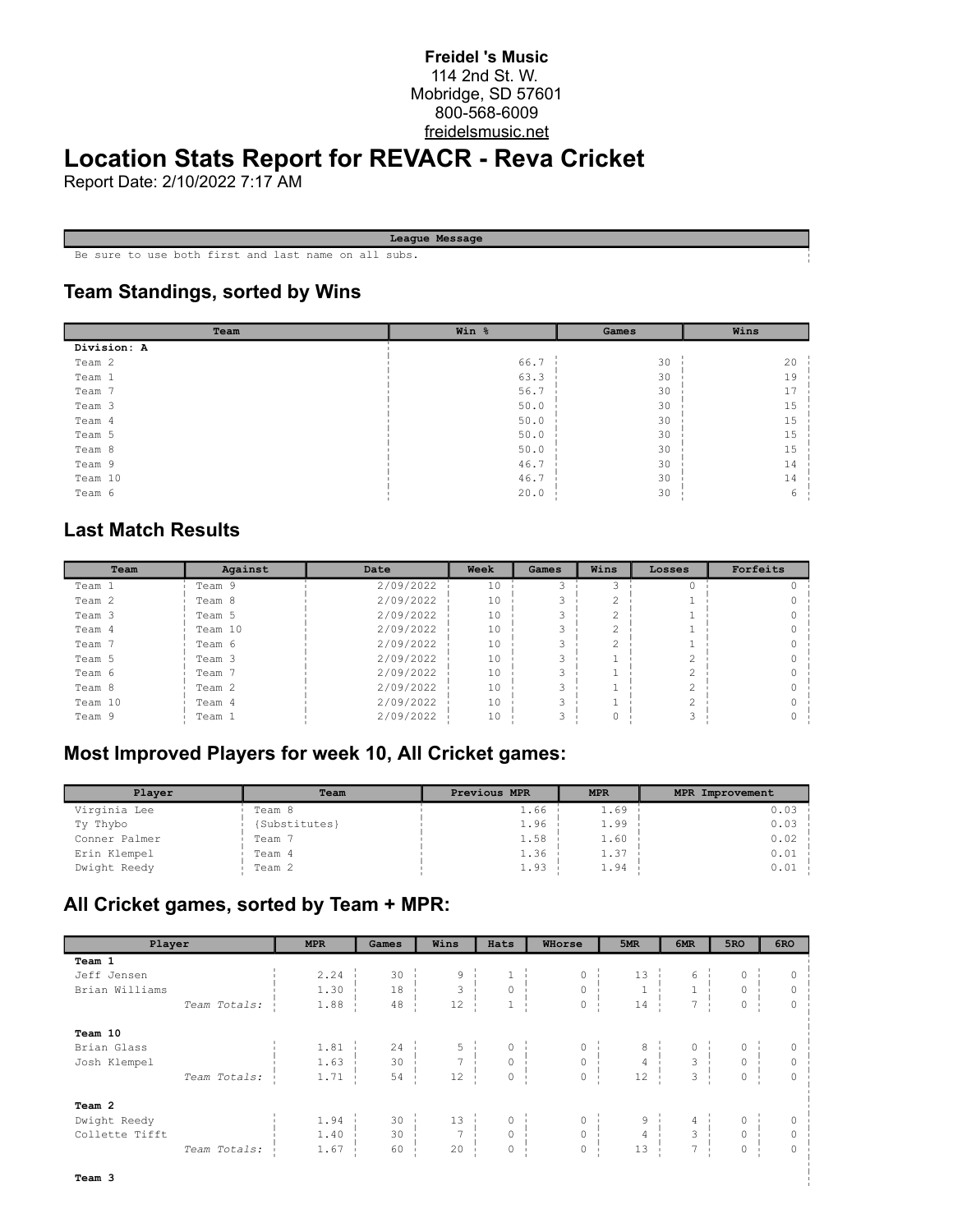#### **Freidel 's Music** 114 2nd St. W. Mobridge, SD 57601 800-568-6009 freidelsmusic.net

# **Location Stats Report for REVACR - Reva Cricket**

Report Date: 2/10/2022 7:17 AM

**League Message** Be sure to use both first and last name on all subs.

#### **Team Standings, sorted by Wins**

| Team        | Win % | Games | Wins |  |
|-------------|-------|-------|------|--|
| Division: A |       |       |      |  |
| Team 2      | 66.7  | 30    | 20   |  |
| Team 1      | 63.3  | 30    | 19   |  |
| Team 7      | 56.7  | 30    | 17   |  |
| Team 3      | 50.0  | 30    | 15   |  |
| Team 4      | 50.0  | 30    | 15   |  |
| Team 5      | 50.0  | 30    | 15   |  |
| Team 8      | 50.0  | 30    | 15   |  |
| Team 9      | 46.7  | 30    | 14   |  |
| Team 10     | 46.7  | 30    | 14   |  |
| Team 6      | 20.0  | 30    | 6    |  |

### **Last Match Results**

| Team    | Against | Date      | Week | Games | Wins   | Losses | Forfeits |
|---------|---------|-----------|------|-------|--------|--------|----------|
| Team 1  | Team 9  | 2/09/2022 | 10   |       |        |        |          |
| Team 2  | Team 8  | 2/09/2022 | 10   |       |        |        |          |
| Team 3  | Team 5  | 2/09/2022 | 10   |       |        |        |          |
| Team 4  | Team 10 | 2/09/2022 | 10   |       |        |        |          |
| Team 7  | Team 6  | 2/09/2022 | 10   |       | $\sim$ |        |          |
| Team 5  | Team 3  | 2/09/2022 | 10   |       |        |        |          |
| Team 6  | Team 7  | 2/09/2022 | 10   |       |        |        |          |
| Team 8  | Team 2  | 2/09/2022 | 10   |       |        |        |          |
| Team 10 | Team 4  | 2/09/2022 | 10   |       |        |        |          |
| Team 9  | Team 1  | 2/09/2022 | 10   |       |        |        |          |

# **Most Improved Players for week 10, All Cricket games:**

| Plaver        | Team          | Previous MPR | <b>MPR</b> | <b>MPR Improvement</b> |  |  |
|---------------|---------------|--------------|------------|------------------------|--|--|
| Virginia Lee  | Team 8        | 1.66         | 1.69       | 0.03                   |  |  |
| Ty Thybo      | {Substitutes} | 1.96         | 1.99       | 0.03                   |  |  |
| Conner Palmer | Team          | 1.58         | 1.60       | 0.02                   |  |  |
| Erin Klempel  | Team 4        | 1.36         | 1.37       | 0.01                   |  |  |
| Dwight Reedy  | Team 2        | 1.93         | 1.94       | 0.01                   |  |  |

# **All Cricket games, sorted by Team + MPR:**

| Player         |              | <b>MPR</b> | Games | Wins                                                      | Hats             | WHorse                                                            | 5MR                                                        | 6MR                                        | 5RO            | 6RO      |
|----------------|--------------|------------|-------|-----------------------------------------------------------|------------------|-------------------------------------------------------------------|------------------------------------------------------------|--------------------------------------------|----------------|----------|
| Team 1         |              |            |       |                                                           |                  |                                                                   |                                                            |                                            |                |          |
| Jeff Jensen    |              | 2.24       | 30    |                                                           |                  | 0                                                                 | 13                                                         | 6                                          | 0              |          |
| Brian Williams |              | 1.30       | 18    | $\begin{array}{c} 9 \\ 3 \\ 12 \end{array}$               | $\overline{0}$   | $\begin{matrix} 0 &   &   \\ 0 &   &   \\ 0 &   &   \end{matrix}$ | $\left( \begin{array}{cc} 1 & 1 \end{array} \right)$ .     | $\begin{array}{c} 1 \\ 7 \end{array}$      | $\circ$        | $\circ$  |
|                | Team Totals: | 1.88       | 48    |                                                           | $\,1\,$          |                                                                   | $14$                                                       |                                            | $\circ$        | 0        |
| Team 10        |              |            |       |                                                           |                  |                                                                   |                                                            |                                            |                |          |
| Brian Glass    |              | 1.81       | 24    |                                                           |                  |                                                                   |                                                            | 0                                          | $\circ$        | 0        |
| Josh Klempel   |              | 1.63       | 30    |                                                           | $0 \quad \vdots$ | $\begin{matrix} 0 \\ 0 \\ \vdots \\ 0 \end{matrix}$               |                                                            | $\begin{array}{c} 3 \\ 3 \\ 3 \end{array}$ | $\overline{0}$ | $\circ$  |
|                | Team Totals: | 1.71       | 54    | $\begin{array}{c c} 5 & 1 \\ 7 & 1 \\ 12 & 1 \end{array}$ | $\circ$          |                                                                   | $\begin{array}{c c}\n8 & 1 \\ 4 & 1 \\ 12 & \n\end{array}$ |                                            | $\overline{0}$ | $\circ$  |
| Team 2         |              |            |       |                                                           |                  |                                                                   |                                                            |                                            |                |          |
| Dwight Reedy   |              | 1.94       | 30    | 13                                                        | $\circ$          |                                                                   |                                                            | 4                                          | $\circ$        | 0        |
| Collette Tifft |              | 1.40       | 30    | $\overline{7}$                                            | $\circ$          | $\begin{matrix} 0 & \vdots \\ 0 & \vdots \end{matrix}$            | $\begin{array}{c} 9 \\ 4 \end{array}$                      | $\frac{1}{3}$                              | $\circ$        | $\circ$  |
|                | Team Totals: | 1.67       | 60    | 20                                                        | $\circ$          | $\mathsf{O}\xspace$                                               | 13                                                         | 7 <sup>7</sup>                             | $\circ$        | $\Omega$ |

į